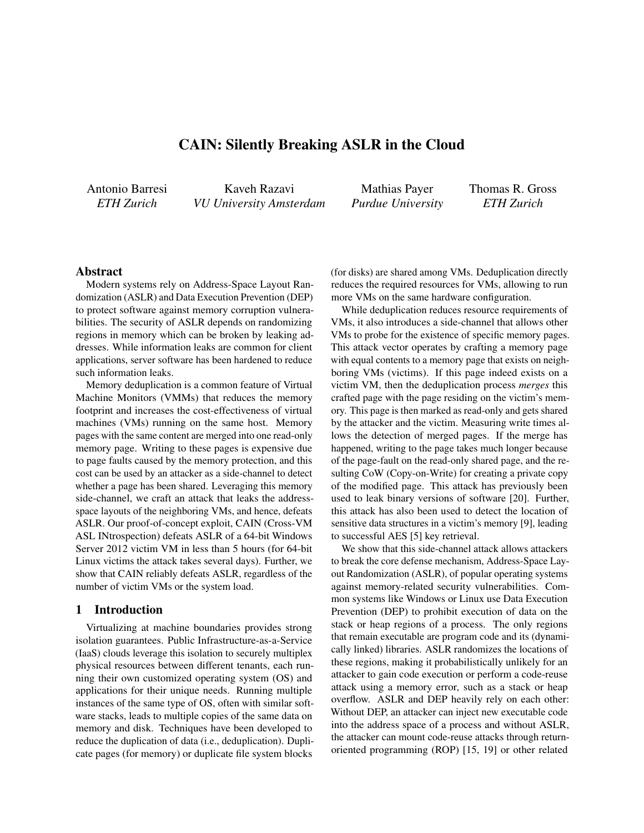# CAIN: Silently Breaking ASLR in the Cloud

Antonio Barresi *ETH Zurich*

Kaveh Razavi *VU University Amsterdam*

Mathias Payer *Purdue University* Thomas R. Gross *ETH Zurich*

# Abstract

Modern systems rely on Address-Space Layout Randomization (ASLR) and Data Execution Prevention (DEP) to protect software against memory corruption vulnerabilities. The security of ASLR depends on randomizing regions in memory which can be broken by leaking addresses. While information leaks are common for client applications, server software has been hardened to reduce such information leaks.

Memory deduplication is a common feature of Virtual Machine Monitors (VMMs) that reduces the memory footprint and increases the cost-effectiveness of virtual machines (VMs) running on the same host. Memory pages with the same content are merged into one read-only memory page. Writing to these pages is expensive due to page faults caused by the memory protection, and this cost can be used by an attacker as a side-channel to detect whether a page has been shared. Leveraging this memory side-channel, we craft an attack that leaks the addressspace layouts of the neighboring VMs, and hence, defeats ASLR. Our proof-of-concept exploit, CAIN (Cross-VM ASL INtrospection) defeats ASLR of a 64-bit Windows Server 2012 victim VM in less than 5 hours (for 64-bit Linux victims the attack takes several days). Further, we show that CAIN reliably defeats ASLR, regardless of the number of victim VMs or the system load.

# 1 Introduction

Virtualizing at machine boundaries provides strong isolation guarantees. Public Infrastructure-as-a-Service (IaaS) clouds leverage this isolation to securely multiplex physical resources between different tenants, each running their own customized operating system (OS) and applications for their unique needs. Running multiple instances of the same type of OS, often with similar software stacks, leads to multiple copies of the same data on memory and disk. Techniques have been developed to reduce the duplication of data (i.e., deduplication). Duplicate pages (for memory) or duplicate file system blocks

(for disks) are shared among VMs. Deduplication directly reduces the required resources for VMs, allowing to run more VMs on the same hardware configuration.

While deduplication reduces resource requirements of VMs, it also introduces a side-channel that allows other VMs to probe for the existence of specific memory pages. This attack vector operates by crafting a memory page with equal contents to a memory page that exists on neighboring VMs (victims). If this page indeed exists on a victim VM, then the deduplication process *merges* this crafted page with the page residing on the victim's memory. This page is then marked as read-only and gets shared by the attacker and the victim. Measuring write times allows the detection of merged pages. If the merge has happened, writing to the page takes much longer because of the page-fault on the read-only shared page, and the resulting CoW (Copy-on-Write) for creating a private copy of the modified page. This attack has previously been used to leak binary versions of software [20]. Further, this attack has also been used to detect the location of sensitive data structures in a victim's memory [9], leading to successful AES [5] key retrieval.

We show that this side-channel attack allows attackers to break the core defense mechanism, Address-Space Layout Randomization (ASLR), of popular operating systems against memory-related security vulnerabilities. Common systems like Windows or Linux use Data Execution Prevention (DEP) to prohibit execution of data on the stack or heap regions of a process. The only regions that remain executable are program code and its (dynamically linked) libraries. ASLR randomizes the locations of these regions, making it probabilistically unlikely for an attacker to gain code execution or perform a code-reuse attack using a memory error, such as a stack or heap overflow. ASLR and DEP heavily rely on each other: Without DEP, an attacker can inject new executable code into the address space of a process and without ASLR, the attacker can mount code-reuse attacks through returnoriented programming (ROP) [15, 19] or other related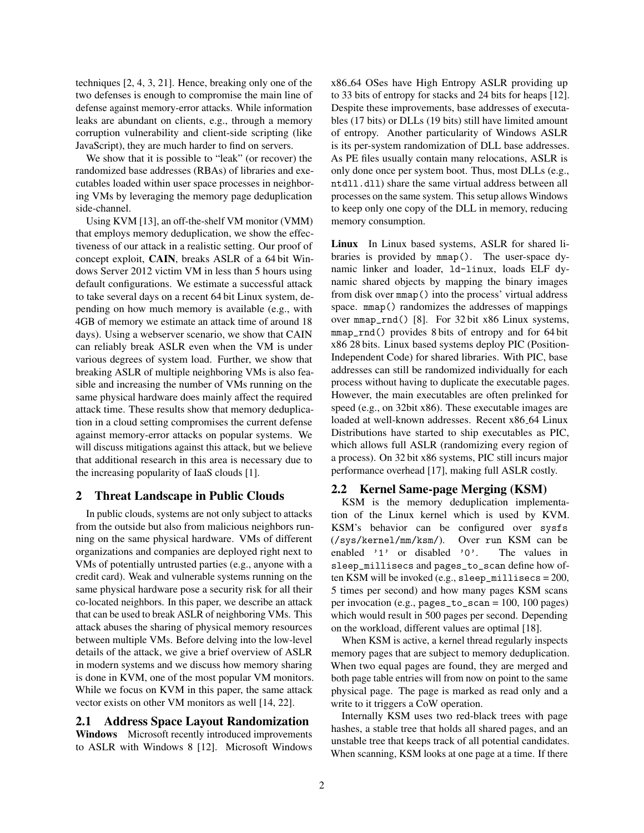techniques [2, 4, 3, 21]. Hence, breaking only one of the two defenses is enough to compromise the main line of defense against memory-error attacks. While information leaks are abundant on clients, e.g., through a memory corruption vulnerability and client-side scripting (like JavaScript), they are much harder to find on servers.

We show that it is possible to "leak" (or recover) the randomized base addresses (RBAs) of libraries and executables loaded within user space processes in neighboring VMs by leveraging the memory page deduplication side-channel.

Using KVM [13], an off-the-shelf VM monitor (VMM) that employs memory deduplication, we show the effectiveness of our attack in a realistic setting. Our proof of concept exploit, CAIN, breaks ASLR of a 64 bit Windows Server 2012 victim VM in less than 5 hours using default configurations. We estimate a successful attack to take several days on a recent 64 bit Linux system, depending on how much memory is available (e.g., with 4GB of memory we estimate an attack time of around 18 days). Using a webserver scenario, we show that CAIN can reliably break ASLR even when the VM is under various degrees of system load. Further, we show that breaking ASLR of multiple neighboring VMs is also feasible and increasing the number of VMs running on the same physical hardware does mainly affect the required attack time. These results show that memory deduplication in a cloud setting compromises the current defense against memory-error attacks on popular systems. We will discuss mitigations against this attack, but we believe that additional research in this area is necessary due to the increasing popularity of IaaS clouds [1].

### 2 Threat Landscape in Public Clouds

In public clouds, systems are not only subject to attacks from the outside but also from malicious neighbors running on the same physical hardware. VMs of different organizations and companies are deployed right next to VMs of potentially untrusted parties (e.g., anyone with a credit card). Weak and vulnerable systems running on the same physical hardware pose a security risk for all their co-located neighbors. In this paper, we describe an attack that can be used to break ASLR of neighboring VMs. This attack abuses the sharing of physical memory resources between multiple VMs. Before delving into the low-level details of the attack, we give a brief overview of ASLR in modern systems and we discuss how memory sharing is done in KVM, one of the most popular VM monitors. While we focus on KVM in this paper, the same attack vector exists on other VM monitors as well [14, 22].

# 2.1 Address Space Layout Randomization

Windows Microsoft recently introduced improvements to ASLR with Windows 8 [12]. Microsoft Windows x86 64 OSes have High Entropy ASLR providing up to 33 bits of entropy for stacks and 24 bits for heaps [12]. Despite these improvements, base addresses of executables (17 bits) or DLLs (19 bits) still have limited amount of entropy. Another particularity of Windows ASLR is its per-system randomization of DLL base addresses. As PE files usually contain many relocations, ASLR is only done once per system boot. Thus, most DLLs (e.g., ntdll.dll) share the same virtual address between all processes on the same system. This setup allows Windows to keep only one copy of the DLL in memory, reducing memory consumption.

Linux In Linux based systems, ASLR for shared libraries is provided by mmap(). The user-space dynamic linker and loader, ld-linux, loads ELF dynamic shared objects by mapping the binary images from disk over mmap() into the process' virtual address space. mmap() randomizes the addresses of mappings over mmap\_rnd() [8]. For 32 bit x86 Linux systems, mmap\_rnd() provides 8 bits of entropy and for 64 bit x86 28 bits. Linux based systems deploy PIC (Position-Independent Code) for shared libraries. With PIC, base addresses can still be randomized individually for each process without having to duplicate the executable pages. However, the main executables are often prelinked for speed (e.g., on 32bit x86). These executable images are loaded at well-known addresses. Recent x86 64 Linux Distributions have started to ship executables as PIC, which allows full ASLR (randomizing every region of a process). On 32 bit x86 systems, PIC still incurs major performance overhead [17], making full ASLR costly.

#### 2.2 Kernel Same-page Merging (KSM)

KSM is the memory deduplication implementation of the Linux kernel which is used by KVM. KSM's behavior can be configured over sysfs (/sys/kernel/mm/ksm/). Over run KSM can be enabled '1' or disabled '0'. The values in sleep\_millisecs and pages\_to\_scan define how often KSM will be invoked (e.g., sleep\_millisecs = 200, 5 times per second) and how many pages KSM scans per invocation (e.g., pages\_to\_scan = 100, 100 pages) which would result in 500 pages per second. Depending on the workload, different values are optimal [18].

When KSM is active, a kernel thread regularly inspects memory pages that are subject to memory deduplication. When two equal pages are found, they are merged and both page table entries will from now on point to the same physical page. The page is marked as read only and a write to it triggers a CoW operation.

Internally KSM uses two red-black trees with page hashes, a stable tree that holds all shared pages, and an unstable tree that keeps track of all potential candidates. When scanning, KSM looks at one page at a time. If there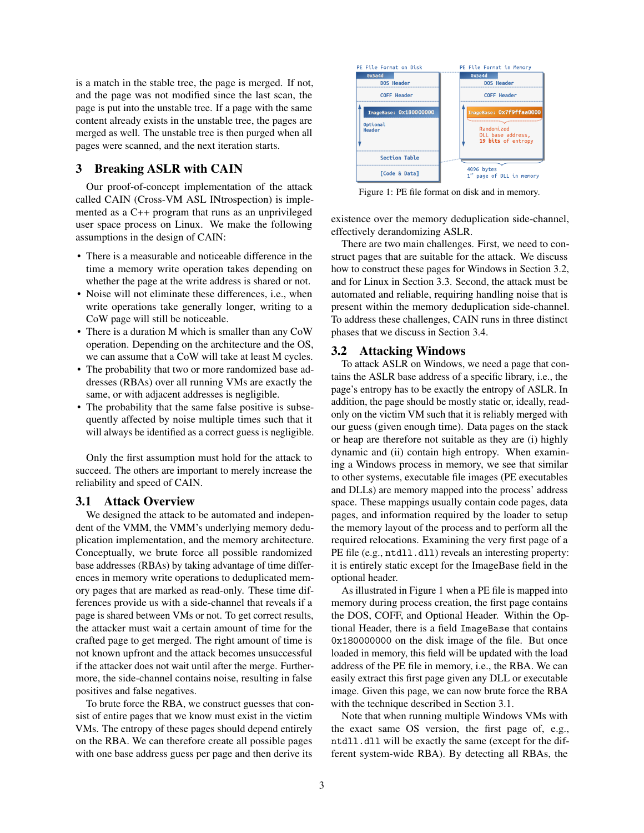is a match in the stable tree, the page is merged. If not, and the page was not modified since the last scan, the page is put into the unstable tree. If a page with the same content already exists in the unstable tree, the pages are merged as well. The unstable tree is then purged when all pages were scanned, and the next iteration starts.

# 3 Breaking ASLR with CAIN

Our proof-of-concept implementation of the attack called CAIN (Cross-VM ASL INtrospection) is implemented as a C++ program that runs as an unprivileged user space process on Linux. We make the following assumptions in the design of CAIN:

- There is a measurable and noticeable difference in the time a memory write operation takes depending on whether the page at the write address is shared or not.
- Noise will not eliminate these differences, i.e., when write operations take generally longer, writing to a CoW page will still be noticeable.
- There is a duration M which is smaller than any CoW operation. Depending on the architecture and the OS, we can assume that a CoW will take at least M cycles.
- The probability that two or more randomized base addresses (RBAs) over all running VMs are exactly the same, or with adjacent addresses is negligible.
- The probability that the same false positive is subsequently affected by noise multiple times such that it will always be identified as a correct guess is negligible.

Only the first assumption must hold for the attack to succeed. The others are important to merely increase the reliability and speed of CAIN.

### 3.1 Attack Overview

We designed the attack to be automated and independent of the VMM, the VMM's underlying memory deduplication implementation, and the memory architecture. Conceptually, we brute force all possible randomized base addresses (RBAs) by taking advantage of time differences in memory write operations to deduplicated memory pages that are marked as read-only. These time differences provide us with a side-channel that reveals if a page is shared between VMs or not. To get correct results, the attacker must wait a certain amount of time for the crafted page to get merged. The right amount of time is not known upfront and the attack becomes unsuccessful if the attacker does not wait until after the merge. Furthermore, the side-channel contains noise, resulting in false positives and false negatives.

To brute force the RBA, we construct guesses that consist of entire pages that we know must exist in the victim VMs. The entropy of these pages should depend entirely on the RBA. We can therefore create all possible pages with one base address guess per page and then derive its



Figure 1: PE file format on disk and in memory.

existence over the memory deduplication side-channel, effectively derandomizing ASLR.

There are two main challenges. First, we need to construct pages that are suitable for the attack. We discuss how to construct these pages for Windows in Section 3.2, and for Linux in Section 3.3. Second, the attack must be automated and reliable, requiring handling noise that is present within the memory deduplication side-channel. To address these challenges, CAIN runs in three distinct phases that we discuss in Section 3.4.

### 3.2 Attacking Windows

To attack ASLR on Windows, we need a page that contains the ASLR base address of a specific library, i.e., the page's entropy has to be exactly the entropy of ASLR. In addition, the page should be mostly static or, ideally, readonly on the victim VM such that it is reliably merged with our guess (given enough time). Data pages on the stack or heap are therefore not suitable as they are (i) highly dynamic and (ii) contain high entropy. When examining a Windows process in memory, we see that similar to other systems, executable file images (PE executables and DLLs) are memory mapped into the process' address space. These mappings usually contain code pages, data pages, and information required by the loader to setup the memory layout of the process and to perform all the required relocations. Examining the very first page of a PE file (e.g., ntd11.dl1) reveals an interesting property: it is entirely static except for the ImageBase field in the optional header.

As illustrated in Figure 1 when a PE file is mapped into memory during process creation, the first page contains the DOS, COFF, and Optional Header. Within the Optional Header, there is a field ImageBase that contains 0x180000000 on the disk image of the file. But once loaded in memory, this field will be updated with the load address of the PE file in memory, i.e., the RBA. We can easily extract this first page given any DLL or executable image. Given this page, we can now brute force the RBA with the technique described in Section 3.1.

Note that when running multiple Windows VMs with the exact same OS version, the first page of, e.g., ntdll.dll will be exactly the same (except for the different system-wide RBA). By detecting all RBAs, the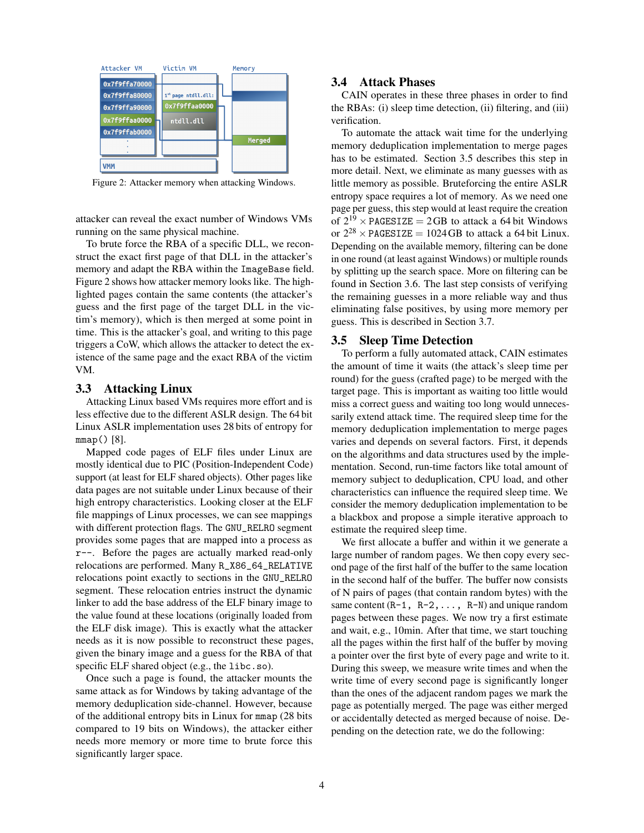

Figure 2: Attacker memory when attacking Windows.

attacker can reveal the exact number of Windows VMs running on the same physical machine.

To brute force the RBA of a specific DLL, we reconstruct the exact first page of that DLL in the attacker's memory and adapt the RBA within the ImageBase field. Figure 2 shows how attacker memory looks like. The highlighted pages contain the same contents (the attacker's guess and the first page of the target DLL in the victim's memory), which is then merged at some point in time. This is the attacker's goal, and writing to this page triggers a CoW, which allows the attacker to detect the existence of the same page and the exact RBA of the victim VM.

### 3.3 Attacking Linux

Attacking Linux based VMs requires more effort and is less effective due to the different ASLR design. The 64 bit Linux ASLR implementation uses 28 bits of entropy for mmap() [8].

Mapped code pages of ELF files under Linux are mostly identical due to PIC (Position-Independent Code) support (at least for ELF shared objects). Other pages like data pages are not suitable under Linux because of their high entropy characteristics. Looking closer at the ELF file mappings of Linux processes, we can see mappings with different protection flags. The GNU\_RELRO segment provides some pages that are mapped into a process as r--. Before the pages are actually marked read-only relocations are performed. Many R\_X86\_64\_RELATIVE relocations point exactly to sections in the GNU\_RELRO segment. These relocation entries instruct the dynamic linker to add the base address of the ELF binary image to the value found at these locations (originally loaded from the ELF disk image). This is exactly what the attacker needs as it is now possible to reconstruct these pages, given the binary image and a guess for the RBA of that specific ELF shared object (e.g., the libc.so).

Once such a page is found, the attacker mounts the same attack as for Windows by taking advantage of the memory deduplication side-channel. However, because of the additional entropy bits in Linux for mmap (28 bits compared to 19 bits on Windows), the attacker either needs more memory or more time to brute force this significantly larger space.

## 3.4 Attack Phases

CAIN operates in these three phases in order to find the RBAs: (i) sleep time detection, (ii) filtering, and (iii) verification.

To automate the attack wait time for the underlying memory deduplication implementation to merge pages has to be estimated. Section 3.5 describes this step in more detail. Next, we eliminate as many guesses with as little memory as possible. Bruteforcing the entire ASLR entropy space requires a lot of memory. As we need one page per guess, this step would at least require the creation of  $2^{19}$  × PAGESIZE = 2GB to attack a 64 bit Windows or  $2^{28}$  × PAGESIZE = 1024 GB to attack a 64 bit Linux. Depending on the available memory, filtering can be done in one round (at least against Windows) or multiple rounds by splitting up the search space. More on filtering can be found in Section 3.6. The last step consists of verifying the remaining guesses in a more reliable way and thus eliminating false positives, by using more memory per guess. This is described in Section 3.7.

# 3.5 Sleep Time Detection

To perform a fully automated attack, CAIN estimates the amount of time it waits (the attack's sleep time per round) for the guess (crafted page) to be merged with the target page. This is important as waiting too little would miss a correct guess and waiting too long would unnecessarily extend attack time. The required sleep time for the memory deduplication implementation to merge pages varies and depends on several factors. First, it depends on the algorithms and data structures used by the implementation. Second, run-time factors like total amount of memory subject to deduplication, CPU load, and other characteristics can influence the required sleep time. We consider the memory deduplication implementation to be a blackbox and propose a simple iterative approach to estimate the required sleep time.

We first allocate a buffer and within it we generate a large number of random pages. We then copy every second page of the first half of the buffer to the same location in the second half of the buffer. The buffer now consists of N pairs of pages (that contain random bytes) with the same content  $(R-1, R-2, \ldots, R-N)$  and unique random pages between these pages. We now try a first estimate and wait, e.g., 10min. After that time, we start touching all the pages within the first half of the buffer by moving a pointer over the first byte of every page and write to it. During this sweep, we measure write times and when the write time of every second page is significantly longer than the ones of the adjacent random pages we mark the page as potentially merged. The page was either merged or accidentally detected as merged because of noise. Depending on the detection rate, we do the following: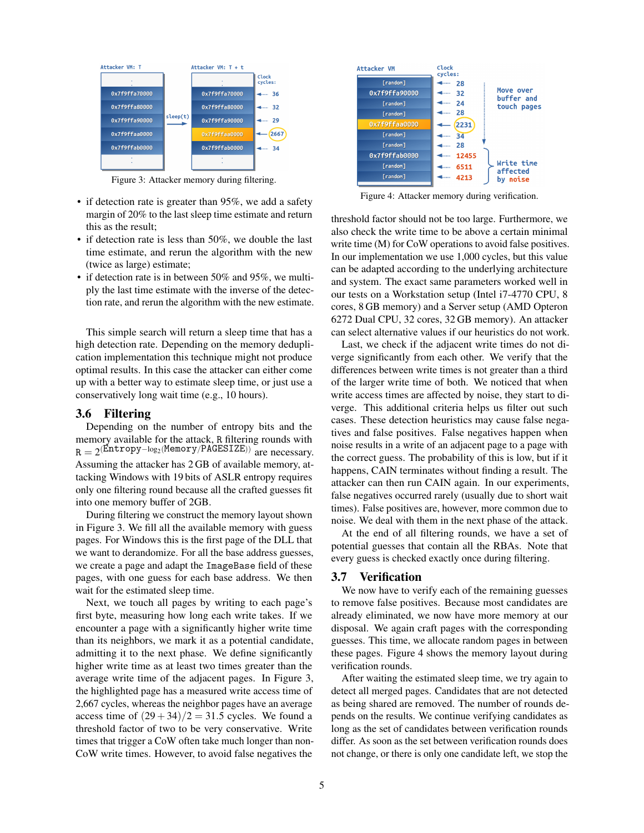

Figure 3: Attacker memory during filtering.

- if detection rate is greater than 95%, we add a safety margin of 20% to the last sleep time estimate and return this as the result;
- if detection rate is less than 50%, we double the last time estimate, and rerun the algorithm with the new (twice as large) estimate;
- if detection rate is in between 50% and 95%, we multiply the last time estimate with the inverse of the detection rate, and rerun the algorithm with the new estimate.

This simple search will return a sleep time that has a high detection rate. Depending on the memory deduplication implementation this technique might not produce optimal results. In this case the attacker can either come up with a better way to estimate sleep time, or just use a conservatively long wait time (e.g., 10 hours).

#### 3.6 Filtering

Depending on the number of entropy bits and the memory available for the attack, R filtering rounds with  $R = 2^{(\text{Entropy-log}_2(\text{Memory}/\text{PAGESTZE}))}$  are necessary. Assuming the attacker has 2 GB of available memory, attacking Windows with 19 bits of ASLR entropy requires only one filtering round because all the crafted guesses fit into one memory buffer of 2GB.

During filtering we construct the memory layout shown in Figure 3. We fill all the available memory with guess pages. For Windows this is the first page of the DLL that we want to derandomize. For all the base address guesses, we create a page and adapt the ImageBase field of these pages, with one guess for each base address. We then wait for the estimated sleep time.

Next, we touch all pages by writing to each page's first byte, measuring how long each write takes. If we encounter a page with a significantly higher write time than its neighbors, we mark it as a potential candidate, admitting it to the next phase. We define significantly higher write time as at least two times greater than the average write time of the adjacent pages. In Figure 3, the highlighted page has a measured write access time of 2,667 cycles, whereas the neighbor pages have an average access time of  $(29+34)/2 = 31.5$  cycles. We found a threshold factor of two to be very conservative. Write times that trigger a CoW often take much longer than non-CoW write times. However, to avoid false negatives the



Figure 4: Attacker memory during verification.

threshold factor should not be too large. Furthermore, we also check the write time to be above a certain minimal write time (M) for CoW operations to avoid false positives. In our implementation we use 1,000 cycles, but this value can be adapted according to the underlying architecture and system. The exact same parameters worked well in our tests on a Workstation setup (Intel i7-4770 CPU, 8 cores, 8 GB memory) and a Server setup (AMD Opteron 6272 Dual CPU, 32 cores, 32 GB memory). An attacker can select alternative values if our heuristics do not work.

Last, we check if the adjacent write times do not diverge significantly from each other. We verify that the differences between write times is not greater than a third of the larger write time of both. We noticed that when write access times are affected by noise, they start to diverge. This additional criteria helps us filter out such cases. These detection heuristics may cause false negatives and false positives. False negatives happen when noise results in a write of an adjacent page to a page with the correct guess. The probability of this is low, but if it happens, CAIN terminates without finding a result. The attacker can then run CAIN again. In our experiments, false negatives occurred rarely (usually due to short wait times). False positives are, however, more common due to noise. We deal with them in the next phase of the attack.

At the end of all filtering rounds, we have a set of potential guesses that contain all the RBAs. Note that every guess is checked exactly once during filtering.

#### 3.7 Verification

We now have to verify each of the remaining guesses to remove false positives. Because most candidates are already eliminated, we now have more memory at our disposal. We again craft pages with the corresponding guesses. This time, we allocate random pages in between these pages. Figure 4 shows the memory layout during verification rounds.

After waiting the estimated sleep time, we try again to detect all merged pages. Candidates that are not detected as being shared are removed. The number of rounds depends on the results. We continue verifying candidates as long as the set of candidates between verification rounds differ. As soon as the set between verification rounds does not change, or there is only one candidate left, we stop the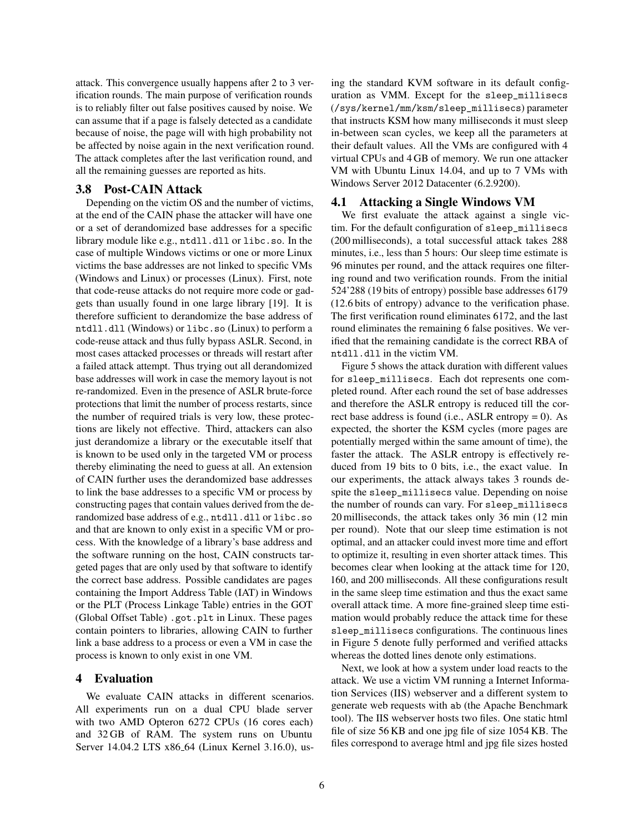attack. This convergence usually happens after 2 to 3 verification rounds. The main purpose of verification rounds is to reliably filter out false positives caused by noise. We can assume that if a page is falsely detected as a candidate because of noise, the page will with high probability not be affected by noise again in the next verification round. The attack completes after the last verification round, and all the remaining guesses are reported as hits.

### 3.8 Post-CAIN Attack

Depending on the victim OS and the number of victims, at the end of the CAIN phase the attacker will have one or a set of derandomized base addresses for a specific library module like e.g., ntdll.dll or libc.so. In the case of multiple Windows victims or one or more Linux victims the base addresses are not linked to specific VMs (Windows and Linux) or processes (Linux). First, note that code-reuse attacks do not require more code or gadgets than usually found in one large library [19]. It is therefore sufficient to derandomize the base address of ntdll.dll (Windows) or libc.so (Linux) to perform a code-reuse attack and thus fully bypass ASLR. Second, in most cases attacked processes or threads will restart after a failed attack attempt. Thus trying out all derandomized base addresses will work in case the memory layout is not re-randomized. Even in the presence of ASLR brute-force protections that limit the number of process restarts, since the number of required trials is very low, these protections are likely not effective. Third, attackers can also just derandomize a library or the executable itself that is known to be used only in the targeted VM or process thereby eliminating the need to guess at all. An extension of CAIN further uses the derandomized base addresses to link the base addresses to a specific VM or process by constructing pages that contain values derived from the derandomized base address of e.g., ntdll.dll or libc.so and that are known to only exist in a specific VM or process. With the knowledge of a library's base address and the software running on the host, CAIN constructs targeted pages that are only used by that software to identify the correct base address. Possible candidates are pages containing the Import Address Table (IAT) in Windows or the PLT (Process Linkage Table) entries in the GOT (Global Offset Table) .got.plt in Linux. These pages contain pointers to libraries, allowing CAIN to further link a base address to a process or even a VM in case the process is known to only exist in one VM.

### 4 Evaluation

We evaluate CAIN attacks in different scenarios. All experiments run on a dual CPU blade server with two AMD Opteron 6272 CPUs (16 cores each) and 32 GB of RAM. The system runs on Ubuntu Server 14.04.2 LTS x86 64 (Linux Kernel 3.16.0), using the standard KVM software in its default configuration as VMM. Except for the sleep\_millisecs (/sys/kernel/mm/ksm/sleep\_millisecs) parameter that instructs KSM how many milliseconds it must sleep in-between scan cycles, we keep all the parameters at their default values. All the VMs are configured with 4 virtual CPUs and 4 GB of memory. We run one attacker VM with Ubuntu Linux 14.04, and up to 7 VMs with Windows Server 2012 Datacenter (6.2.9200).

### 4.1 Attacking a Single Windows VM

We first evaluate the attack against a single victim. For the default configuration of sleep\_millisecs (200 milliseconds), a total successful attack takes 288 minutes, i.e., less than 5 hours: Our sleep time estimate is 96 minutes per round, and the attack requires one filtering round and two verification rounds. From the initial 524'288 (19 bits of entropy) possible base addresses 6179 (12.6 bits of entropy) advance to the verification phase. The first verification round eliminates 6172, and the last round eliminates the remaining 6 false positives. We verified that the remaining candidate is the correct RBA of ntdll.dll in the victim VM.

Figure 5 shows the attack duration with different values for sleep\_millisecs. Each dot represents one completed round. After each round the set of base addresses and therefore the ASLR entropy is reduced till the correct base address is found (i.e., ASLR entropy  $= 0$ ). As expected, the shorter the KSM cycles (more pages are potentially merged within the same amount of time), the faster the attack. The ASLR entropy is effectively reduced from 19 bits to 0 bits, i.e., the exact value. In our experiments, the attack always takes 3 rounds despite the sleep\_millisecs value. Depending on noise the number of rounds can vary. For sleep\_millisecs 20 milliseconds, the attack takes only 36 min (12 min per round). Note that our sleep time estimation is not optimal, and an attacker could invest more time and effort to optimize it, resulting in even shorter attack times. This becomes clear when looking at the attack time for 120, 160, and 200 milliseconds. All these configurations result in the same sleep time estimation and thus the exact same overall attack time. A more fine-grained sleep time estimation would probably reduce the attack time for these sleep\_millisecs configurations. The continuous lines in Figure 5 denote fully performed and verified attacks whereas the dotted lines denote only estimations.

Next, we look at how a system under load reacts to the attack. We use a victim VM running a Internet Information Services (IIS) webserver and a different system to generate web requests with ab (the Apache Benchmark tool). The IIS webserver hosts two files. One static html file of size 56 KB and one jpg file of size 1054 KB. The files correspond to average html and jpg file sizes hosted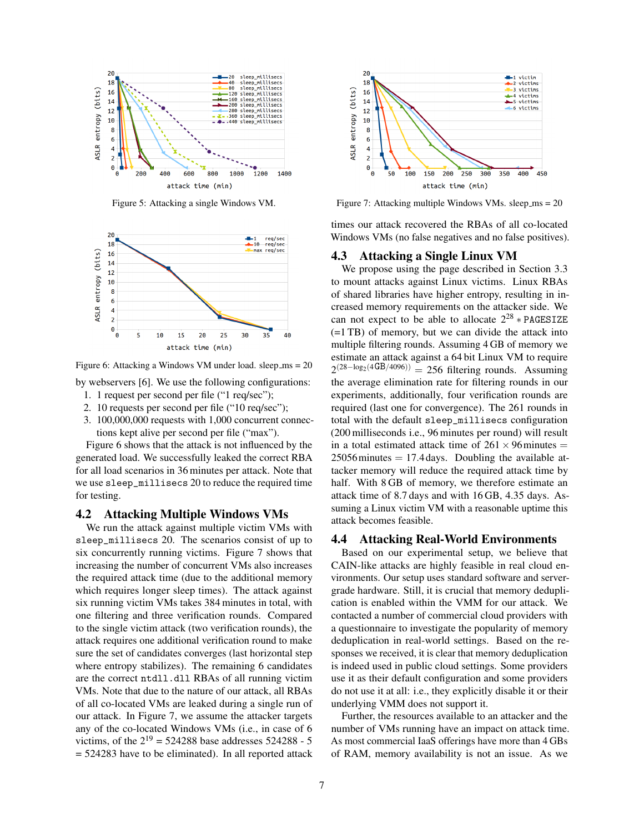

Figure 5: Attacking a single Windows VM.



Figure 6: Attacking a Windows VM under load. sleep\_ms = 20

by webservers [6]. We use the following configurations:

- 1. 1 request per second per file ("1 req/sec");
- 2. 10 requests per second per file ("10 req/sec");
- 3. 100,000,000 requests with 1,000 concurrent connections kept alive per second per file ("max").

Figure 6 shows that the attack is not influenced by the generated load. We successfully leaked the correct RBA for all load scenarios in 36 minutes per attack. Note that we use sleep\_millisecs 20 to reduce the required time for testing.

#### 4.2 Attacking Multiple Windows VMs

We run the attack against multiple victim VMs with sleep\_millisecs 20. The scenarios consist of up to six concurrently running victims. Figure 7 shows that increasing the number of concurrent VMs also increases the required attack time (due to the additional memory which requires longer sleep times). The attack against six running victim VMs takes 384 minutes in total, with one filtering and three verification rounds. Compared to the single victim attack (two verification rounds), the attack requires one additional verification round to make sure the set of candidates converges (last horizontal step where entropy stabilizes). The remaining 6 candidates are the correct ntdll.dll RBAs of all running victim VMs. Note that due to the nature of our attack, all RBAs of all co-located VMs are leaked during a single run of our attack. In Figure 7, we assume the attacker targets any of the co-located Windows VMs (i.e., in case of 6 victims, of the  $2^{19} = 524288$  base addresses 524288 - 5 = 524283 have to be eliminated). In all reported attack



Figure 7: Attacking multiple Windows VMs. sleep\_ms =  $20$ 

times our attack recovered the RBAs of all co-located Windows VMs (no false negatives and no false positives).

#### 4.3 Attacking a Single Linux VM

We propose using the page described in Section 3.3 to mount attacks against Linux victims. Linux RBAs of shared libraries have higher entropy, resulting in increased memory requirements on the attacker side. We can not expect to be able to allocate  $2^{28} * PAGESIZE$ (=1 TB) of memory, but we can divide the attack into multiple filtering rounds. Assuming 4 GB of memory we estimate an attack against a 64 bit Linux VM to require  $2^{(28-\log_2(4GB/4096))}$  = 256 filtering rounds. Assuming the average elimination rate for filtering rounds in our experiments, additionally, four verification rounds are required (last one for convergence). The 261 rounds in total with the default sleep\_millisecs configuration (200 milliseconds i.e., 96 minutes per round) will result in a total estimated attack time of  $261 \times 96$  minutes =  $25056$  minutes  $= 17.4$  days. Doubling the available attacker memory will reduce the required attack time by half. With 8 GB of memory, we therefore estimate an attack time of 8.7 days and with 16 GB, 4.35 days. Assuming a Linux victim VM with a reasonable uptime this attack becomes feasible.

### 4.4 Attacking Real-World Environments

Based on our experimental setup, we believe that CAIN-like attacks are highly feasible in real cloud environments. Our setup uses standard software and servergrade hardware. Still, it is crucial that memory deduplication is enabled within the VMM for our attack. We contacted a number of commercial cloud providers with a questionnaire to investigate the popularity of memory deduplication in real-world settings. Based on the responses we received, it is clear that memory deduplication is indeed used in public cloud settings. Some providers use it as their default configuration and some providers do not use it at all: i.e., they explicitly disable it or their underlying VMM does not support it.

Further, the resources available to an attacker and the number of VMs running have an impact on attack time. As most commercial IaaS offerings have more than 4 GBs of RAM, memory availability is not an issue. As we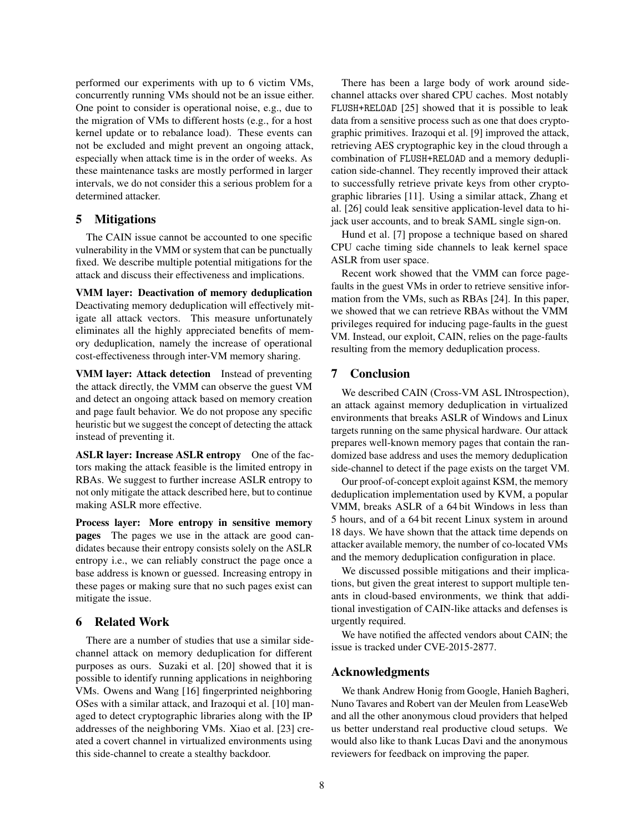performed our experiments with up to 6 victim VMs, concurrently running VMs should not be an issue either. One point to consider is operational noise, e.g., due to the migration of VMs to different hosts (e.g., for a host kernel update or to rebalance load). These events can not be excluded and might prevent an ongoing attack, especially when attack time is in the order of weeks. As these maintenance tasks are mostly performed in larger intervals, we do not consider this a serious problem for a determined attacker.

# 5 Mitigations

The CAIN issue cannot be accounted to one specific vulnerability in the VMM or system that can be punctually fixed. We describe multiple potential mitigations for the attack and discuss their effectiveness and implications.

VMM layer: Deactivation of memory deduplication Deactivating memory deduplication will effectively mitigate all attack vectors. This measure unfortunately eliminates all the highly appreciated benefits of memory deduplication, namely the increase of operational cost-effectiveness through inter-VM memory sharing.

VMM layer: Attack detection Instead of preventing the attack directly, the VMM can observe the guest VM and detect an ongoing attack based on memory creation and page fault behavior. We do not propose any specific heuristic but we suggest the concept of detecting the attack instead of preventing it.

ASLR layer: Increase ASLR entropy One of the factors making the attack feasible is the limited entropy in RBAs. We suggest to further increase ASLR entropy to not only mitigate the attack described here, but to continue making ASLR more effective.

Process layer: More entropy in sensitive memory pages The pages we use in the attack are good candidates because their entropy consists solely on the ASLR entropy i.e., we can reliably construct the page once a base address is known or guessed. Increasing entropy in these pages or making sure that no such pages exist can mitigate the issue.

### 6 Related Work

There are a number of studies that use a similar sidechannel attack on memory deduplication for different purposes as ours. Suzaki et al. [20] showed that it is possible to identify running applications in neighboring VMs. Owens and Wang [16] fingerprinted neighboring OSes with a similar attack, and Irazoqui et al. [10] managed to detect cryptographic libraries along with the IP addresses of the neighboring VMs. Xiao et al. [23] created a covert channel in virtualized environments using this side-channel to create a stealthy backdoor.

There has been a large body of work around sidechannel attacks over shared CPU caches. Most notably FLUSH+RELOAD [25] showed that it is possible to leak data from a sensitive process such as one that does cryptographic primitives. Irazoqui et al. [9] improved the attack, retrieving AES cryptographic key in the cloud through a combination of FLUSH+RELOAD and a memory deduplication side-channel. They recently improved their attack to successfully retrieve private keys from other cryptographic libraries [11]. Using a similar attack, Zhang et al. [26] could leak sensitive application-level data to hijack user accounts, and to break SAML single sign-on.

Hund et al. [7] propose a technique based on shared CPU cache timing side channels to leak kernel space ASLR from user space.

Recent work showed that the VMM can force pagefaults in the guest VMs in order to retrieve sensitive information from the VMs, such as RBAs [24]. In this paper, we showed that we can retrieve RBAs without the VMM privileges required for inducing page-faults in the guest VM. Instead, our exploit, CAIN, relies on the page-faults resulting from the memory deduplication process.

# 7 Conclusion

We described CAIN (Cross-VM ASL INtrospection), an attack against memory deduplication in virtualized environments that breaks ASLR of Windows and Linux targets running on the same physical hardware. Our attack prepares well-known memory pages that contain the randomized base address and uses the memory deduplication side-channel to detect if the page exists on the target VM.

Our proof-of-concept exploit against KSM, the memory deduplication implementation used by KVM, a popular VMM, breaks ASLR of a 64 bit Windows in less than 5 hours, and of a 64 bit recent Linux system in around 18 days. We have shown that the attack time depends on attacker available memory, the number of co-located VMs and the memory deduplication configuration in place.

We discussed possible mitigations and their implications, but given the great interest to support multiple tenants in cloud-based environments, we think that additional investigation of CAIN-like attacks and defenses is urgently required.

We have notified the affected vendors about CAIN; the issue is tracked under CVE-2015-2877.

#### Acknowledgments

We thank Andrew Honig from Google, Hanieh Bagheri, Nuno Tavares and Robert van der Meulen from LeaseWeb and all the other anonymous cloud providers that helped us better understand real productive cloud setups. We would also like to thank Lucas Davi and the anonymous reviewers for feedback on improving the paper.